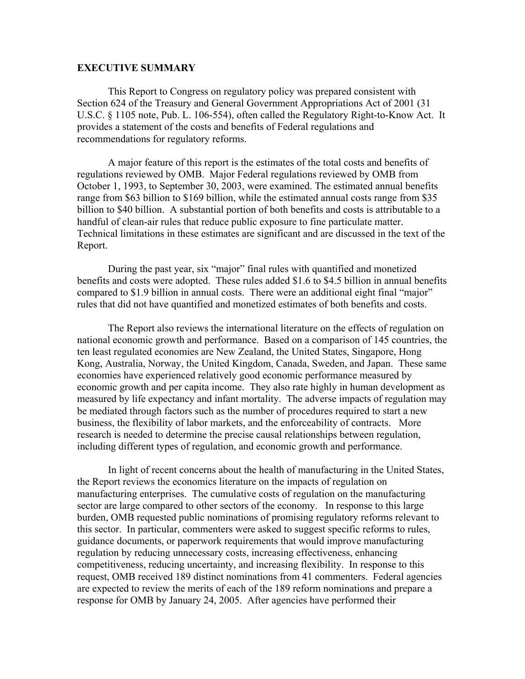## **EXECUTIVE SUMMARY**

This Report to Congress on regulatory policy was prepared consistent with Section 624 of the Treasury and General Government Appropriations Act of 2001 (31 U.S.C. § 1105 note, Pub. L. 106-554), often called the Regulatory Right-to-Know Act. It provides a statement of the costs and benefits of Federal regulations and recommendations for regulatory reforms.

A major feature of this report is the estimates of the total costs and benefits of regulations reviewed by OMB. Major Federal regulations reviewed by OMB from October 1, 1993, to September 30, 2003, were examined. The estimated annual benefits range from \$63 billion to \$169 billion, while the estimated annual costs range from \$35 billion to \$40 billion. A substantial portion of both benefits and costs is attributable to a handful of clean-air rules that reduce public exposure to fine particulate matter. Technical limitations in these estimates are significant and are discussed in the text of the Report.

During the past year, six "major" final rules with quantified and monetized benefits and costs were adopted. These rules added \$1.6 to \$4.5 billion in annual benefits compared to \$1.9 billion in annual costs. There were an additional eight final "major" rules that did not have quantified and monetized estimates of both benefits and costs.

The Report also reviews the international literature on the effects of regulation on national economic growth and performance. Based on a comparison of 145 countries, the ten least regulated economies are New Zealand, the United States, Singapore, Hong Kong, Australia, Norway, the United Kingdom, Canada, Sweden, and Japan. These same economies have experienced relatively good economic performance measured by economic growth and per capita income. They also rate highly in human development as measured by life expectancy and infant mortality. The adverse impacts of regulation may be mediated through factors such as the number of procedures required to start a new business, the flexibility of labor markets, and the enforceability of contracts. More research is needed to determine the precise causal relationships between regulation, including different types of regulation, and economic growth and performance.

 In light of recent concerns about the health of manufacturing in the United States, the Report reviews the economics literature on the impacts of regulation on manufacturing enterprises. The cumulative costs of regulation on the manufacturing sector are large compared to other sectors of the economy. In response to this large burden, OMB requested public nominations of promising regulatory reforms relevant to this sector. In particular, commenters were asked to suggest specific reforms to rules, guidance documents, or paperwork requirements that would improve manufacturing regulation by reducing unnecessary costs, increasing effectiveness, enhancing competitiveness, reducing uncertainty, and increasing flexibility. In response to this request, OMB received 189 distinct nominations from 41 commenters. Federal agencies are expected to review the merits of each of the 189 reform nominations and prepare a response for OMB by January 24, 2005. After agencies have performed their